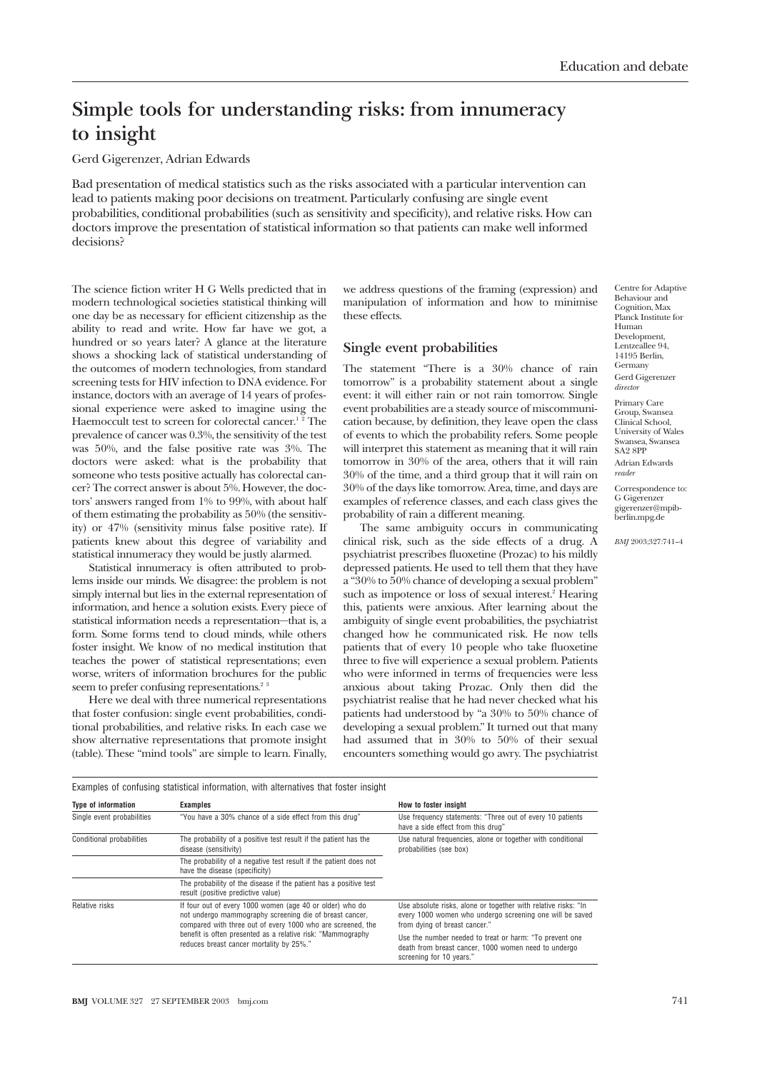# **Simple tools for understanding risks: from innumeracy to insight**

Gerd Gigerenzer, Adrian Edwards

Bad presentation of medical statistics such as the risks associated with a particular intervention can lead to patients making poor decisions on treatment. Particularly confusing are single event probabilities, conditional probabilities (such as sensitivity and specificity), and relative risks. How can doctors improve the presentation of statistical information so that patients can make well informed decisions?

The science fiction writer H G Wells predicted that in modern technological societies statistical thinking will one day be as necessary for efficient citizenship as the ability to read and write. How far have we got, a hundred or so years later? A glance at the literature shows a shocking lack of statistical understanding of the outcomes of modern technologies, from standard screening tests for HIV infection to DNA evidence. For instance, doctors with an average of 14 years of professional experience were asked to imagine using the Haemoccult test to screen for colorectal cancer.<sup>1</sup> <sup>2</sup> The prevalence of cancer was 0.3%, the sensitivity of the test was 50%, and the false positive rate was 3%. The doctors were asked: what is the probability that someone who tests positive actually has colorectal cancer? The correct answer is about 5%. However, the doctors' answers ranged from 1% to 99%, with about half of them estimating the probability as 50% (the sensitivity) or 47% (sensitivity minus false positive rate). If patients knew about this degree of variability and statistical innumeracy they would be justly alarmed.

Statistical innumeracy is often attributed to problems inside our minds. We disagree: the problem is not simply internal but lies in the external representation of information, and hence a solution exists. Every piece of statistical information needs a representation—that is, a form. Some forms tend to cloud minds, while others foster insight. We know of no medical institution that teaches the power of statistical representations; even worse, writers of information brochures for the public seem to prefer confusing representations.<sup>2</sup><sup>3</sup>

Here we deal with three numerical representations that foster confusion: single event probabilities, conditional probabilities, and relative risks. In each case we show alternative representations that promote insight (table). These "mind tools" are simple to learn. Finally, we address questions of the framing (expression) and manipulation of information and how to minimise these effects.

# **Single event probabilities**

The statement "There is a 30% chance of rain tomorrow" is a probability statement about a single event: it will either rain or not rain tomorrow. Single event probabilities are a steady source of miscommunication because, by definition, they leave open the class of events to which the probability refers. Some people will interpret this statement as meaning that it will rain tomorrow in 30% of the area, others that it will rain 30% of the time, and a third group that it will rain on 30% of the days like tomorrow. Area, time, and days are examples of reference classes, and each class gives the probability of rain a different meaning.

The same ambiguity occurs in communicating clinical risk, such as the side effects of a drug. A psychiatrist prescribes fluoxetine (Prozac) to his mildly depressed patients. He used to tell them that they have a "30% to 50% chance of developing a sexual problem" such as impotence or loss of sexual interest. ${}^{2}$  Hearing this, patients were anxious. After learning about the ambiguity of single event probabilities, the psychiatrist changed how he communicated risk. He now tells patients that of every 10 people who take fluoxetine three to five will experience a sexual problem. Patients who were informed in terms of frequencies were less anxious about taking Prozac. Only then did the psychiatrist realise that he had never checked what his patients had understood by "a 30% to 50% chance of developing a sexual problem." It turned out that many had assumed that in 30% to 50% of their sexual encounters something would go awry. The psychiatrist Centre for Adaptive Behaviour and Cognition, Max Planck Institute for Human Development, Lentzeallee 94, 14195 Berlin, Germany Gerd Gigerenzer *director*

Primary Care Group, Swansea Clinical School, University of Wales Swansea, Swansea SA2 8PP Adrian Edwards *reader*

Correspondence to: G Gigerenzer gigerenzer@mpibberlin.mpg.de

*BMJ* 2003;327:741–4

| Examples of confusing statistical information, with alternatives that foster insight |                                                                                                                                                                                                                                                                                               |                                                                                                                                                             |
|--------------------------------------------------------------------------------------|-----------------------------------------------------------------------------------------------------------------------------------------------------------------------------------------------------------------------------------------------------------------------------------------------|-------------------------------------------------------------------------------------------------------------------------------------------------------------|
| <b>Type of information</b>                                                           | Examples                                                                                                                                                                                                                                                                                      | How to foster insight                                                                                                                                       |
| Single event probabilities                                                           | "You have a 30% chance of a side effect from this drug"                                                                                                                                                                                                                                       | Use frequency statements: "Three out of every 10 patients<br>have a side effect from this drug"                                                             |
| Conditional probabilities                                                            | The probability of a positive test result if the patient has the<br>disease (sensitivity)                                                                                                                                                                                                     | Use natural frequencies, alone or together with conditional<br>probabilities (see box)                                                                      |
|                                                                                      | The probability of a negative test result if the patient does not<br>have the disease (specificity)                                                                                                                                                                                           |                                                                                                                                                             |
|                                                                                      | The probability of the disease if the patient has a positive test<br>result (positive predictive value)                                                                                                                                                                                       |                                                                                                                                                             |
| Relative risks                                                                       | If four out of every 1000 women (age 40 or older) who do<br>not undergo mammography screening die of breast cancer,<br>compared with three out of every 1000 who are screened, the<br>benefit is often presented as a relative risk: "Mammography<br>reduces breast cancer mortality by 25%." | Use absolute risks, alone or together with relative risks: "In<br>every 1000 women who undergo screening one will be saved<br>from dving of breast cancer." |
|                                                                                      |                                                                                                                                                                                                                                                                                               | Use the number needed to treat or harm: "To prevent one<br>death from breast cancer, 1000 women need to undergo<br>screening for 10 years."                 |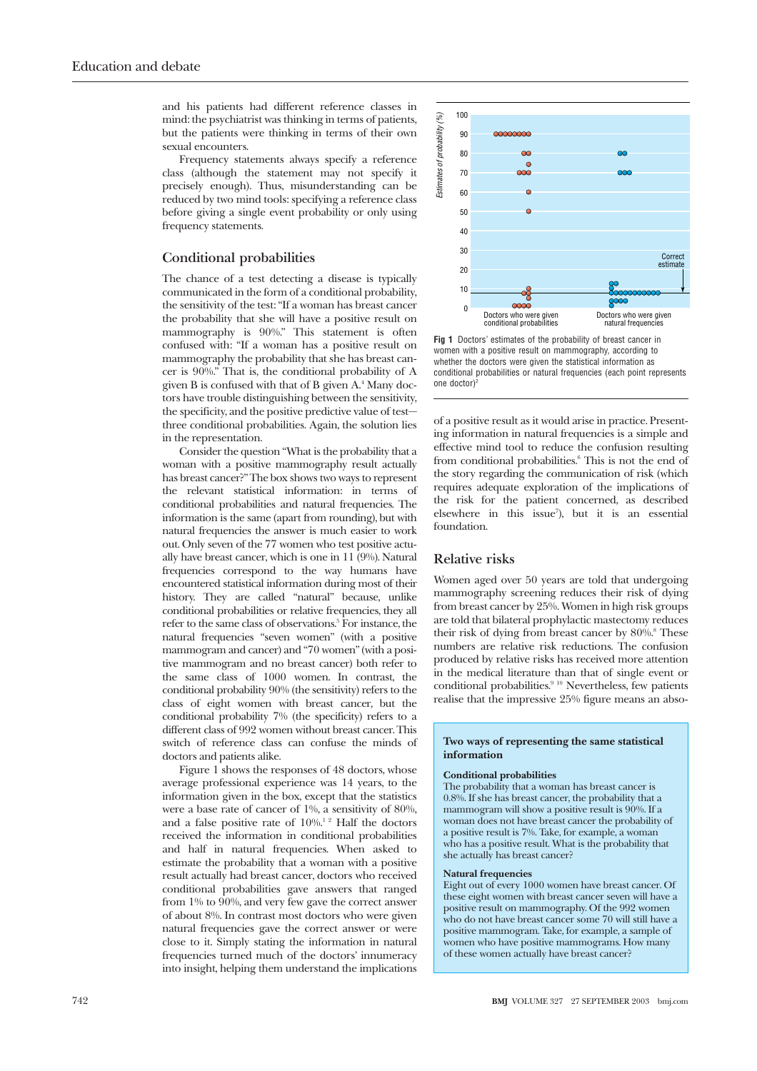and his patients had different reference classes in mind: the psychiatrist was thinking in terms of patients, but the patients were thinking in terms of their own sexual encounters.

Frequency statements always specify a reference class (although the statement may not specify it precisely enough). Thus, misunderstanding can be reduced by two mind tools: specifying a reference class before giving a single event probability or only using frequency statements.

## **Conditional probabilities**

The chance of a test detecting a disease is typically communicated in the form of a conditional probability, the sensitivity of the test: "If a woman has breast cancer the probability that she will have a positive result on mammography is 90%." This statement is often confused with: "If a woman has a positive result on mammography the probability that she has breast cancer is 90%." That is, the conditional probability of A given  $B$  is confused with that of  $B$  given  $A<sup>4</sup>$  Many doctors have trouble distinguishing between the sensitivity, the specificity, and the positive predictive value of test three conditional probabilities. Again, the solution lies in the representation.

Consider the question "What is the probability that a woman with a positive mammography result actually has breast cancer?" The box shows two ways to represent the relevant statistical information: in terms of conditional probabilities and natural frequencies. The information is the same (apart from rounding), but with natural frequencies the answer is much easier to work out. Only seven of the 77 women who test positive actually have breast cancer, which is one in 11 (9%). Natural frequencies correspond to the way humans have encountered statistical information during most of their history. They are called "natural" because, unlike conditional probabilities or relative frequencies, they all refer to the same class of observations.<sup>5</sup> For instance, the natural frequencies "seven women" (with a positive mammogram and cancer) and "70 women" (with a positive mammogram and no breast cancer) both refer to the same class of 1000 women. In contrast, the conditional probability 90% (the sensitivity) refers to the class of eight women with breast cancer, but the conditional probability 7% (the specificity) refers to a different class of 992 women without breast cancer. This switch of reference class can confuse the minds of doctors and patients alike.

Figure 1 shows the responses of 48 doctors, whose average professional experience was 14 years, to the information given in the box, except that the statistics were a base rate of cancer of 1%, a sensitivity of 80%, and a false positive rate of  $10\%$ .<sup>12</sup> Half the doctors received the information in conditional probabilities and half in natural frequencies. When asked to estimate the probability that a woman with a positive result actually had breast cancer, doctors who received conditional probabilities gave answers that ranged from 1% to 90%, and very few gave the correct answer of about 8%. In contrast most doctors who were given natural frequencies gave the correct answer or were close to it. Simply stating the information in natural frequencies turned much of the doctors' innumeracy into insight, helping them understand the implications



**Fig 1** Doctors' estimates of the probability of breast cancer in women with a positive result on mammography, according to whether the doctors were given the statistical information as conditional probabilities or natural frequencies (each point represents one doctor $)^2$ 

of a positive result as it would arise in practice. Presenting information in natural frequencies is a simple and effective mind tool to reduce the confusion resulting from conditional probabilities.<sup>6</sup> This is not the end of the story regarding the communication of risk (which requires adequate exploration of the implications of the risk for the patient concerned, as described  $e$ lsewhere in this issue<sup>7</sup>), but it is an essential foundation.

#### **Relative risks**

Women aged over 50 years are told that undergoing mammography screening reduces their risk of dying from breast cancer by 25%. Women in high risk groups are told that bilateral prophylactic mastectomy reduces their risk of dying from breast cancer by 80%.<sup>8</sup> These numbers are relative risk reductions. The confusion produced by relative risks has received more attention in the medical literature than that of single event or conditional probabilities.<sup>9 10</sup> Nevertheless, few patients realise that the impressive 25% figure means an abso-

#### **Two ways of representing the same statistical information**

#### **Conditional probabilities**

The probability that a woman has breast cancer is 0.8%. If she has breast cancer, the probability that a mammogram will show a positive result is 90%. If a woman does not have breast cancer the probability of a positive result is 7%. Take, for example, a woman who has a positive result. What is the probability that she actually has breast cancer?

#### **Natural frequencies**

Eight out of every 1000 women have breast cancer. Of these eight women with breast cancer seven will have a positive result on mammography. Of the 992 women who do not have breast cancer some 70 will still have a positive mammogram. Take, for example, a sample of women who have positive mammograms. How many<br>of these women actually have breast cancer?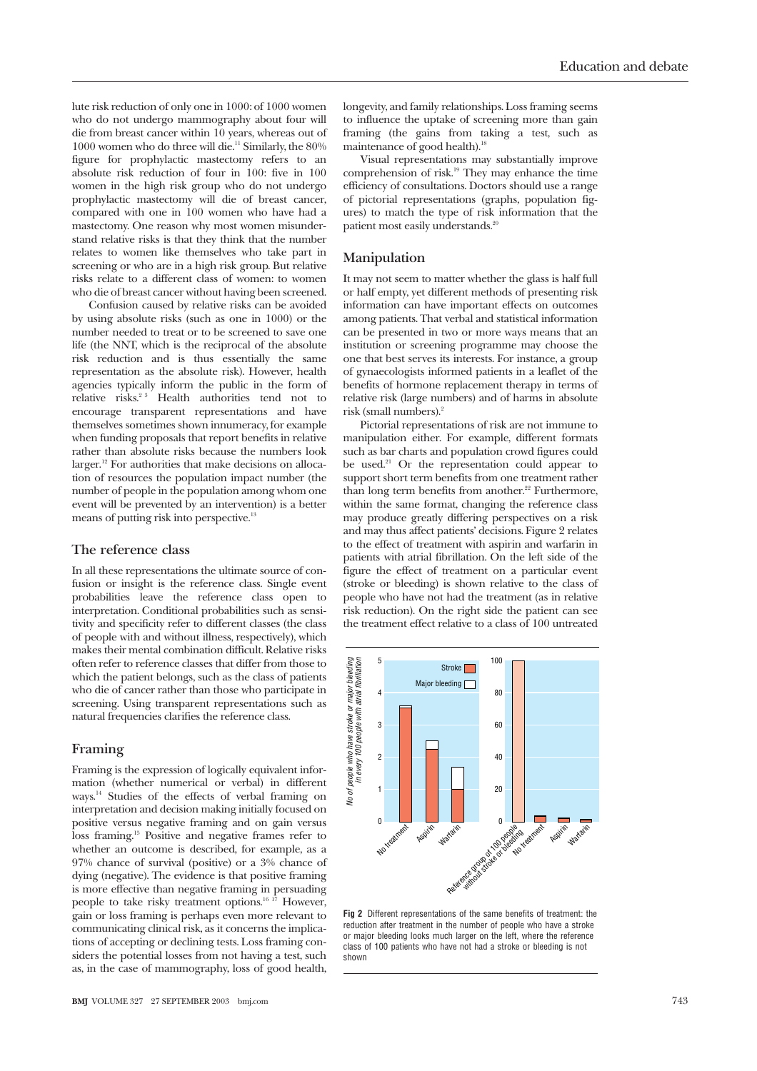lute risk reduction of only one in 1000: of 1000 women who do not undergo mammography about four will die from breast cancer within 10 years, whereas out of 1000 women who do three will die.11 Similarly, the 80% figure for prophylactic mastectomy refers to an absolute risk reduction of four in 100: five in 100 women in the high risk group who do not undergo prophylactic mastectomy will die of breast cancer, compared with one in 100 women who have had a mastectomy. One reason why most women misunderstand relative risks is that they think that the number relates to women like themselves who take part in screening or who are in a high risk group. But relative risks relate to a different class of women: to women who die of breast cancer without having been screened.

Confusion caused by relative risks can be avoided by using absolute risks (such as one in 1000) or the number needed to treat or to be screened to save one life (the NNT, which is the reciprocal of the absolute risk reduction and is thus essentially the same representation as the absolute risk). However, health agencies typically inform the public in the form of relative risks.<sup>2 3</sup> Health authorities tend not to encourage transparent representations and have themselves sometimes shown innumeracy, for example when funding proposals that report benefits in relative rather than absolute risks because the numbers look larger.<sup>12</sup> For authorities that make decisions on allocation of resources the population impact number (the number of people in the population among whom one event will be prevented by an intervention) is a better means of putting risk into perspective.<sup>13</sup>

#### **The reference class**

In all these representations the ultimate source of confusion or insight is the reference class. Single event probabilities leave the reference class open to interpretation. Conditional probabilities such as sensitivity and specificity refer to different classes (the class of people with and without illness, respectively), which makes their mental combination difficult. Relative risks often refer to reference classes that differ from those to which the patient belongs, such as the class of patients who die of cancer rather than those who participate in screening. Using transparent representations such as natural frequencies clarifies the reference class.

#### **Framing**

Framing is the expression of logically equivalent information (whether numerical or verbal) in different ways.14 Studies of the effects of verbal framing on interpretation and decision making initially focused on positive versus negative framing and on gain versus loss framing.15 Positive and negative frames refer to whether an outcome is described, for example, as a 97% chance of survival (positive) or a 3% chance of dying (negative). The evidence is that positive framing is more effective than negative framing in persuading people to take risky treatment options.<sup>16 17</sup> However, gain or loss framing is perhaps even more relevant to communicating clinical risk, as it concerns the implications of accepting or declining tests. Loss framing considers the potential losses from not having a test, such as, in the case of mammography, loss of good health, longevity, and family relationships. Loss framing seems to influence the uptake of screening more than gain framing (the gains from taking a test, such as maintenance of good health).<sup>18</sup>

Visual representations may substantially improve comprehension of risk.<sup>19</sup> They may enhance the time efficiency of consultations. Doctors should use a range of pictorial representations (graphs, population figures) to match the type of risk information that the patient most easily understands.<sup>20</sup>

## **Manipulation**

It may not seem to matter whether the glass is half full or half empty, yet different methods of presenting risk information can have important effects on outcomes among patients. That verbal and statistical information can be presented in two or more ways means that an institution or screening programme may choose the one that best serves its interests. For instance, a group of gynaecologists informed patients in a leaflet of the benefits of hormone replacement therapy in terms of relative risk (large numbers) and of harms in absolute risk (small numbers).<sup>2</sup>

Pictorial representations of risk are not immune to manipulation either. For example, different formats such as bar charts and population crowd figures could be used.<sup>21</sup> Or the representation could appear to support short term benefits from one treatment rather than long term benefits from another.<sup>22</sup> Furthermore, within the same format, changing the reference class may produce greatly differing perspectives on a risk and may thus affect patients' decisions. Figure 2 relates to the effect of treatment with aspirin and warfarin in patients with atrial fibrillation. On the left side of the figure the effect of treatment on a particular event (stroke or bleeding) is shown relative to the class of people who have not had the treatment (as in relative risk reduction). On the right side the patient can see the treatment effect relative to a class of 100 untreated



**Fig 2** Different representations of the same benefits of treatment: the reduction after treatment in the number of people who have a stroke or major bleeding looks much larger on the left, where the reference class of 100 patients who have not had a stroke or bleeding is not shown